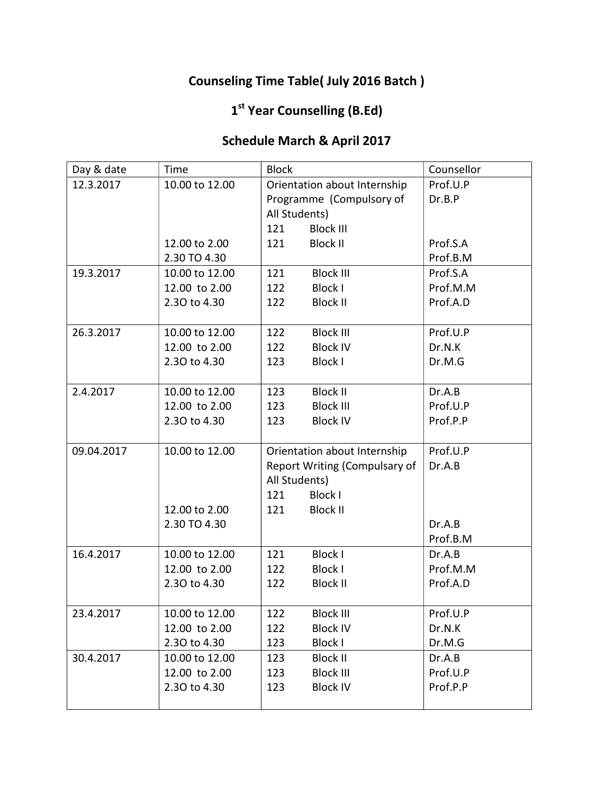### Counseling Time Table( July 2016 Batch )

#### 1<sup>st</sup> Year Counselling (B.Ed)

#### Schedule March & April 2017

| Day & date | Time           | <b>Block</b>  |                               | Counsellor |
|------------|----------------|---------------|-------------------------------|------------|
| 12.3.2017  | 10.00 to 12.00 |               | Orientation about Internship  | Prof.U.P   |
|            |                |               | Programme (Compulsory of      | Dr.B.P     |
|            |                | All Students) |                               |            |
|            |                | 121           | <b>Block III</b>              |            |
|            | 12.00 to 2.00  | 121           | <b>Block II</b>               | Prof.S.A   |
|            | 2.30 TO 4.30   |               |                               | Prof.B.M   |
| 19.3.2017  | 10.00 to 12.00 | 121           | <b>Block III</b>              | Prof.S.A   |
|            | 12.00 to 2.00  | 122           | <b>Block I</b>                | Prof.M.M   |
|            | 2.30 to 4.30   | 122           | <b>Block II</b>               | Prof.A.D   |
|            |                |               |                               |            |
| 26.3.2017  | 10.00 to 12.00 | 122           | <b>Block III</b>              | Prof.U.P   |
|            | 12.00 to 2.00  | 122           | <b>Block IV</b>               | Dr.N.K     |
|            | 2.30 to 4.30   | 123           | <b>Block I</b>                | Dr.M.G     |
|            |                |               |                               |            |
| 2.4.2017   | 10.00 to 12.00 | 123           | <b>Block II</b>               | Dr.A.B     |
|            | 12.00 to 2.00  | 123           | <b>Block III</b>              | Prof.U.P   |
|            | 2.30 to 4.30   | 123           | <b>Block IV</b>               | Prof.P.P   |
|            |                |               |                               |            |
| 09.04.2017 | 10.00 to 12.00 |               | Orientation about Internship  | Prof.U.P   |
|            |                |               | Report Writing (Compulsary of | Dr.A.B     |
|            |                | All Students) |                               |            |
|            |                | 121           | <b>Block I</b>                |            |
|            | 12.00 to 2.00  | 121           | <b>Block II</b>               |            |
|            | 2.30 TO 4.30   |               |                               | Dr.A.B     |
|            |                |               |                               | Prof.B.M   |
| 16.4.2017  | 10.00 to 12.00 | 121           | <b>Block I</b>                | Dr.A.B     |
|            | 12.00 to 2.00  | 122           | <b>Block I</b>                | Prof.M.M   |
|            | 2.30 to 4.30   | 122           | <b>Block II</b>               | Prof.A.D   |
|            |                |               |                               |            |
| 23.4.2017  | 10.00 to 12.00 | 122           | <b>Block III</b>              | Prof.U.P   |
|            | 12.00 to 2.00  | 122           | <b>Block IV</b>               | Dr.N.K     |
|            | 2.30 to 4.30   | 123           | <b>Block I</b>                | Dr.M.G     |
| 30.4.2017  | 10.00 to 12.00 | 123           | <b>Block II</b>               | Dr.A.B     |
|            | 12.00 to 2.00  | 123           | <b>Block III</b>              | Prof.U.P   |
|            | 2.30 to 4.30   | 123           | <b>Block IV</b>               | Prof.P.P   |
|            |                |               |                               |            |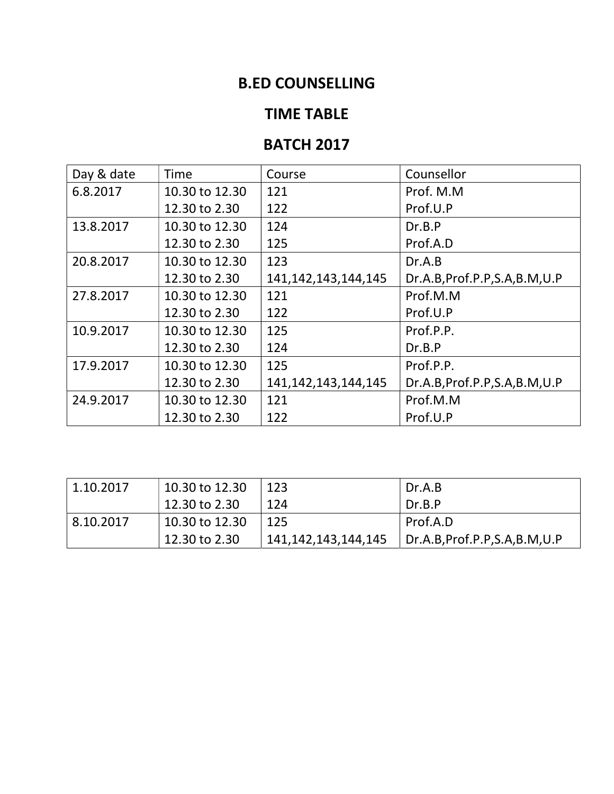### B.ED COUNSELLING

#### TIME TABLE

#### **BATCH 2017**

| Day & date | Time           | Course                  | Counsellor                      |
|------------|----------------|-------------------------|---------------------------------|
| 6.8.2017   | 10.30 to 12.30 | 121                     | Prof. M.M                       |
|            | 12.30 to 2.30  | 122                     | Prof.U.P                        |
| 13.8.2017  | 10.30 to 12.30 | 124                     | Dr.B.P                          |
|            | 12.30 to 2.30  | 125                     | Prof.A.D                        |
| 20.8.2017  | 10.30 to 12.30 | 123                     | Dr.A.B                          |
|            | 12.30 to 2.30  | 141, 142, 143, 144, 145 | Dr.A.B, Prof.P.P, S.A, B.M, U.P |
| 27.8.2017  | 10.30 to 12.30 | 121                     | Prof.M.M                        |
|            | 12.30 to 2.30  | 122                     | Prof.U.P                        |
| 10.9.2017  | 10.30 to 12.30 | 125                     | Prof.P.P.                       |
|            | 12.30 to 2.30  | 124                     | Dr.B.P                          |
| 17.9.2017  | 10.30 to 12.30 | 125                     | Prof.P.P.                       |
|            | 12.30 to 2.30  | 141, 142, 143, 144, 145 | Dr.A.B, Prof.P.P, S.A, B.M, U.P |
| 24.9.2017  | 10.30 to 12.30 | 121                     | Prof.M.M                        |
|            | 12.30 to 2.30  | 122                     | Prof.U.P                        |

| 1.10.2017 | 10.30 to 12.30 | 123                 | Dr.A.B                      |
|-----------|----------------|---------------------|-----------------------------|
|           | 12.30 to 2.30  | 124                 | Dr.B.P                      |
| 8.10.2017 | 10.30 to 12.30 | 125                 | Prof.A.D                    |
|           | 12.30 to 2.30  | 141,142,143,144,145 | Dr.A.B,Prof.P.P,S.A,B.M,U.P |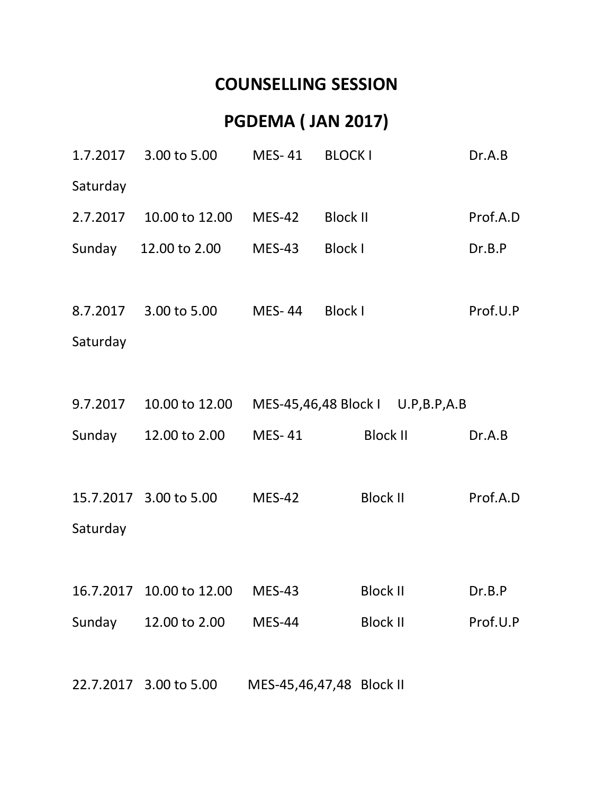## COUNSELLING SESSION

# PGDEMA ( JAN 2017)

|          | 1.7.2017 3.00 to 5.00    | MES-41                   | <b>BLOCK I</b>                   | Dr.A.B   |
|----------|--------------------------|--------------------------|----------------------------------|----------|
| Saturday |                          |                          |                                  |          |
| 2.7.2017 | 10.00 to 12.00           | $MES-42$                 | <b>Block II</b>                  | Prof.A.D |
|          | Sunday 12.00 to 2.00     | $MES-43$                 | <b>Block I</b>                   | Dr.B.P   |
|          |                          |                          |                                  |          |
|          | 8.7.2017 3.00 to 5.00    | MES-44 Block I           |                                  | Prof.U.P |
| Saturday |                          |                          |                                  |          |
|          |                          |                          |                                  |          |
| 9.7.2017 | 10.00 to 12.00           |                          | MES-45,46,48 Block I U.P,B.P,A.B |          |
|          | Sunday 12.00 to 2.00     | MES-41                   | <b>Block II</b>                  | Dr.A.B   |
|          |                          |                          |                                  |          |
|          | 15.7.2017 3.00 to 5.00   | <b>MES-42</b>            | <b>Block II</b>                  | Prof.A.D |
| Saturday |                          |                          |                                  |          |
|          |                          |                          |                                  |          |
|          | 16.7.2017 10.00 to 12.00 | <b>MES-43</b>            | <b>Block II</b>                  | Dr.B.P   |
| Sunday   | 12.00 to 2.00            | <b>MES-44</b>            | <b>Block II</b>                  | Prof.U.P |
|          |                          |                          |                                  |          |
|          | 22.7.2017 3.00 to 5.00   | MES-45,46,47,48 Block II |                                  |          |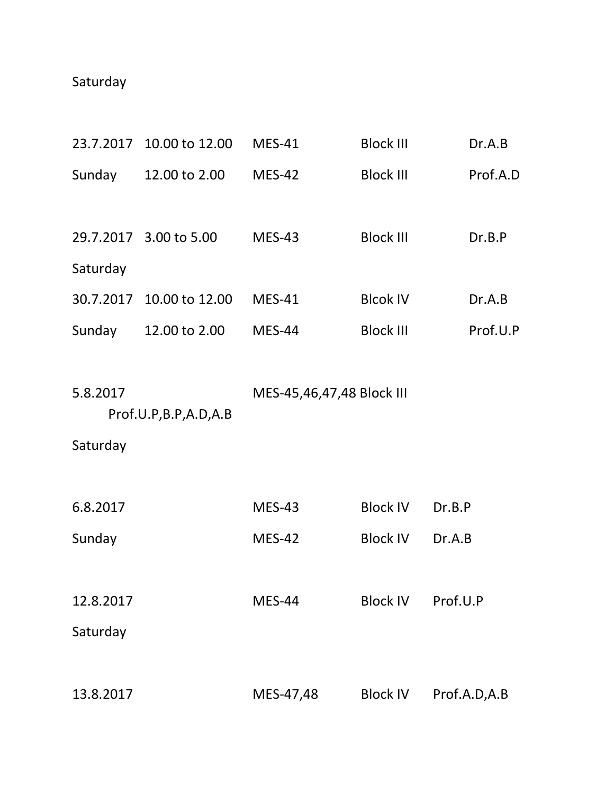## Saturday

| 23.7.2017 | 10.00 to 12.00         | <b>MES-41</b>             | <b>Block III</b> | Dr.A.B       |
|-----------|------------------------|---------------------------|------------------|--------------|
| Sunday    | 12.00 to 2.00          | <b>MES-42</b>             | <b>Block III</b> | Prof.A.D     |
|           |                        |                           |                  |              |
|           | 29.7.2017 3.00 to 5.00 | <b>MES-43</b>             | <b>Block III</b> | Dr.B.P       |
| Saturday  |                        |                           |                  |              |
| 30.7.2017 | 10.00 to 12.00         | <b>MES-41</b>             | <b>Blcok IV</b>  | Dr.A.B       |
| Sunday    | 12.00 to 2.00          | MES-44                    | <b>Block III</b> | Prof.U.P     |
|           |                        |                           |                  |              |
| 5.8.2017  |                        | MES-45,46,47,48 Block III |                  |              |
|           | Prof.U.P,B.P,A.D,A.B   |                           |                  |              |
| Saturday  |                        |                           |                  |              |
|           |                        |                           |                  |              |
| 6.8.2017  |                        | <b>MES-43</b>             | <b>Block IV</b>  | Dr.B.P       |
| Sunday    |                        | <b>MES-42</b>             | <b>Block IV</b>  | Dr.A.B       |
|           |                        |                           |                  |              |
| 12.8.2017 |                        | <b>MES-44</b>             | <b>Block IV</b>  | Prof.U.P     |
| Saturday  |                        |                           |                  |              |
|           |                        |                           |                  |              |
| 13.8.2017 |                        | MES-47,48                 | <b>Block IV</b>  | Prof.A.D,A.B |
|           |                        |                           |                  |              |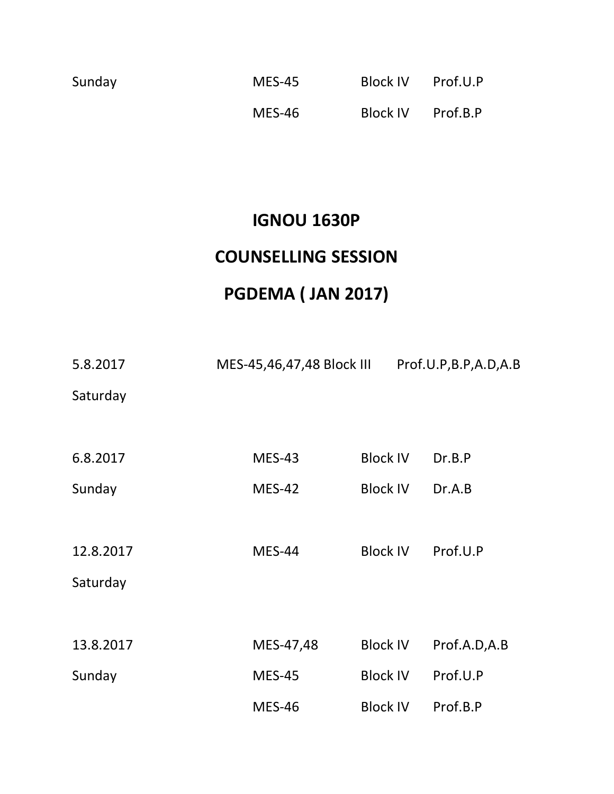| Sunday | <b>MES-45</b> | Block IV Prof.U.P |  |
|--------|---------------|-------------------|--|
|        | MES-46        | Block IV Prof.B.P |  |

## IGNOU 1630P

## COUNSELLING SESSION

# PGDEMA ( JAN 2017)

| 5.8.2017  | MES-45,46,47,48 Block III |                 | Prof.U.P,B.P,A.D,A.B |
|-----------|---------------------------|-----------------|----------------------|
| Saturday  |                           |                 |                      |
| 6.8.2017  | <b>MES-43</b>             | <b>Block IV</b> | Dr.B.P               |
|           |                           |                 |                      |
| Sunday    | <b>MES-42</b>             | <b>Block IV</b> | Dr.A.B               |
|           |                           |                 |                      |
| 12.8.2017 | <b>MES-44</b>             | <b>Block IV</b> | Prof.U.P             |
| Saturday  |                           |                 |                      |
|           |                           |                 |                      |
| 13.8.2017 | MES-47,48                 | <b>Block IV</b> | Prof.A.D,A.B         |
| Sunday    | <b>MES-45</b>             | <b>Block IV</b> | Prof.U.P             |
|           | <b>MES-46</b>             | <b>Block IV</b> | Prof.B.P             |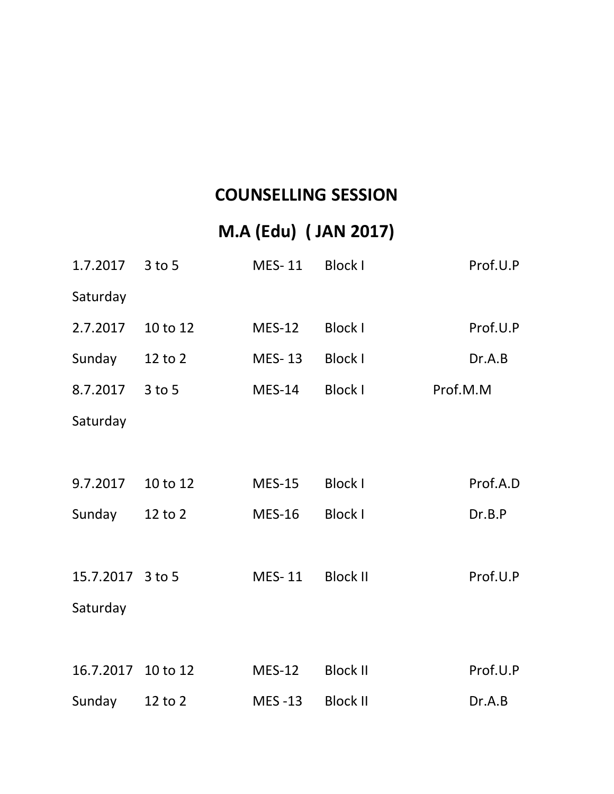## COUNSELLING SESSION

# M.A (Edu) ( JAN 2017)

| 1.7.2017 3 to 5    |             | MES-11        | <b>Block I</b>  | Prof.U.P |
|--------------------|-------------|---------------|-----------------|----------|
| Saturday           |             |               |                 |          |
| 2.7.2017           | 10 to 12    | <b>MES-12</b> | <b>Block I</b>  | Prof.U.P |
| Sunday             | 12 to 2     | <b>MES-13</b> | <b>Block I</b>  | Dr.A.B   |
| 8.7.2017           | $3$ to 5    | <b>MES-14</b> | <b>Block I</b>  | Prof.M.M |
| Saturday           |             |               |                 |          |
|                    |             |               |                 |          |
| 9.7.2017           | 10 to 12    | <b>MES-15</b> | <b>Block I</b>  | Prof.A.D |
| Sunday             | $12$ to $2$ | <b>MES-16</b> | <b>Block I</b>  | Dr.B.P   |
|                    |             |               |                 |          |
| 15.7.2017 3 to 5   |             | MES-11        | <b>Block II</b> | Prof.U.P |
| Saturday           |             |               |                 |          |
|                    |             |               |                 |          |
| 16.7.2017 10 to 12 |             | <b>MES-12</b> | <b>Block II</b> | Prof.U.P |
| Sunday             | 12 to 2     | <b>MES-13</b> | <b>Block II</b> | Dr.A.B   |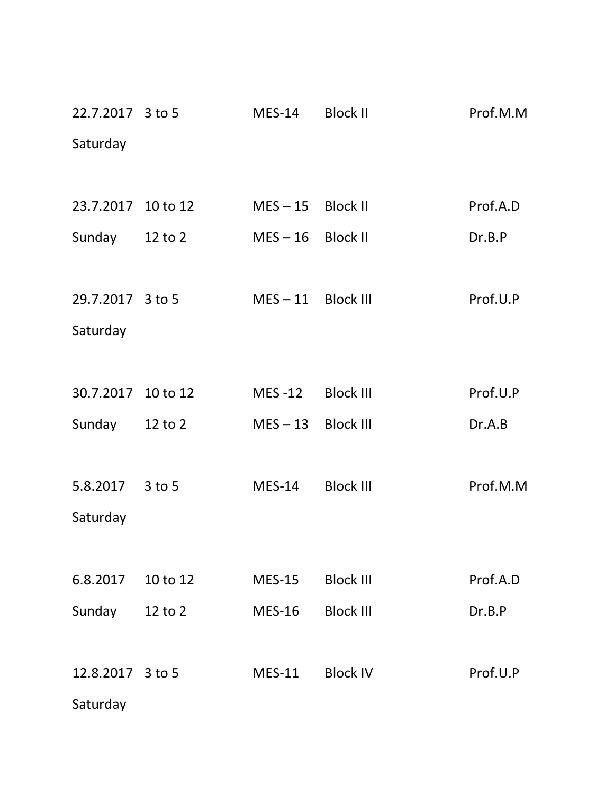| 22.7.2017 3 to 5   |          | $MES-14$             | <b>Block II</b>  | Prof.M.M |
|--------------------|----------|----------------------|------------------|----------|
| Saturday           |          |                      |                  |          |
|                    |          |                      |                  |          |
| 23.7.2017 10 to 12 |          | $MES - 15$ Block II  |                  | Prof.A.D |
| Sunday 12 to 2     |          | $MES - 16$ Block II  |                  | Dr.B.P   |
|                    |          |                      |                  |          |
| 29.7.2017 3 to 5   |          | $MES - 11$ Block III |                  | Prof.U.P |
| Saturday           |          |                      |                  |          |
|                    |          |                      |                  |          |
| 30.7.2017 10 to 12 |          | MES-12 Block III     |                  | Prof.U.P |
| Sunday             | 12 to 2  | MES-13 Block III     |                  | Dr.A.B   |
|                    |          |                      |                  |          |
| 5.8.2017           | 3 to 5   | $MES-14$             | <b>Block III</b> | Prof.M.M |
| Saturday           |          |                      |                  |          |
|                    |          |                      |                  |          |
| 6.8.2017           | 10 to 12 | <b>MES-15</b>        | <b>Block III</b> | Prof.A.D |
| Sunday             | 12 to 2  | <b>MES-16</b>        | <b>Block III</b> | Dr.B.P   |
|                    |          |                      |                  |          |
| 12.8.2017 3 to 5   |          | <b>MES-11</b>        | <b>Block IV</b>  | Prof.U.P |
| Saturday           |          |                      |                  |          |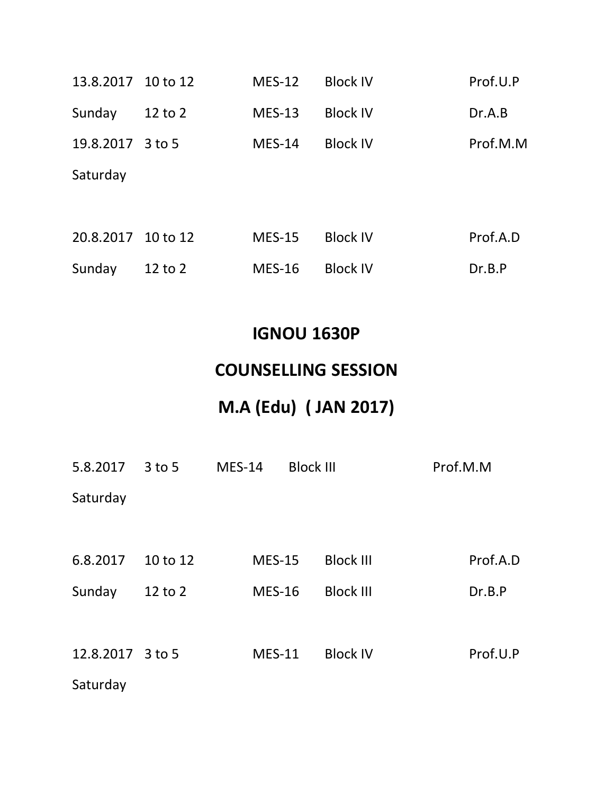| 13.8.2017 10 to 12 |             | $MES-12$      | <b>Block IV</b> | Prof.U.P |
|--------------------|-------------|---------------|-----------------|----------|
| Sunday             | $12$ to $2$ | <b>MES-13</b> | <b>Block IV</b> | Dr.A.B   |
| 19.8.2017          | $3$ to 5    | <b>MES-14</b> | <b>Block IV</b> | Prof.M.M |
| Saturday           |             |               |                 |          |
|                    |             |               |                 |          |
| 20.8.2017 10 to 12 |             | <b>MES-15</b> | <b>Block IV</b> | Prof.A.D |
| Sunday             | $12$ to $2$ | <b>MES-16</b> | <b>Block IV</b> | Dr.B.P   |

## IGNOU 1630P

## COUNSELLING SESSION

# M.A (Edu) ( JAN 2017)

| 5.8.2017  | $3$ to 5 | $MES-14$ | <b>Block III</b> |                  | Prof.M.M |          |
|-----------|----------|----------|------------------|------------------|----------|----------|
| Saturday  |          |          |                  |                  |          |          |
|           |          |          |                  |                  |          |          |
| 6.8.2017  | 10 to 12 |          | <b>MES-15</b>    | <b>Block III</b> |          | Prof.A.D |
| Sunday    | 12 to 2  |          | <b>MES-16</b>    | <b>Block III</b> |          | Dr.B.P   |
|           |          |          |                  |                  |          |          |
| 12.8.2017 | $3$ to 5 |          | <b>MES-11</b>    | <b>Block IV</b>  |          | Prof.U.P |
| Saturday  |          |          |                  |                  |          |          |